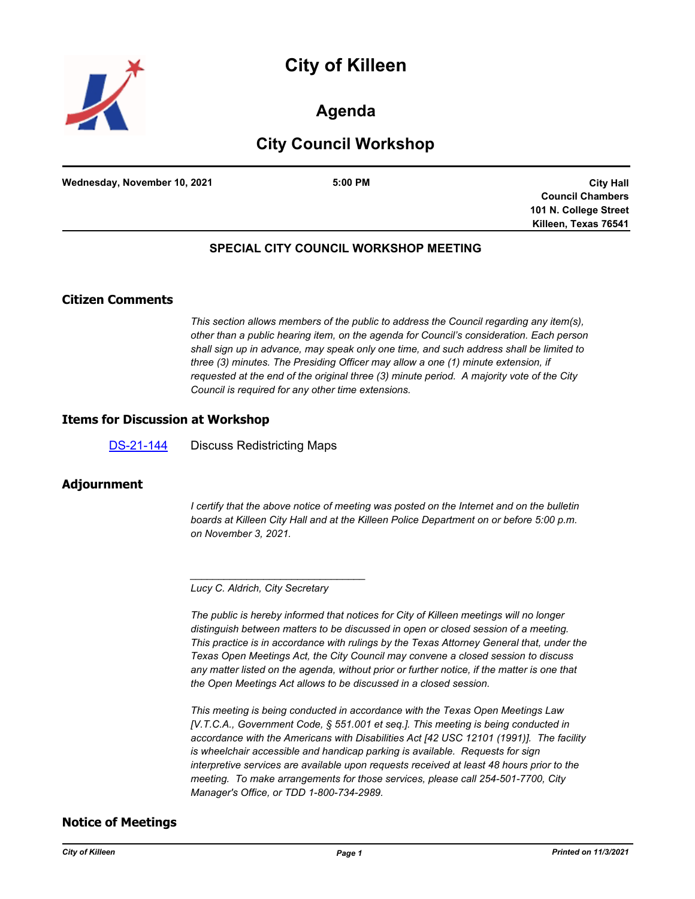



# **Agenda**

# **City Council Workshop**

**Wednesday, November 10, 2021 5:00 PM**

**City Hall Council Chambers 101 N. College Street Killeen, Texas 76541**

# **SPECIAL CITY COUNCIL WORKSHOP MEETING**

# **Citizen Comments**

*This section allows members of the public to address the Council regarding any item(s), other than a public hearing item, on the agenda for Council's consideration. Each person shall sign up in advance, may speak only one time, and such address shall be limited to three (3) minutes. The Presiding Officer may allow a one (1) minute extension, if requested at the end of the original three (3) minute period. A majority vote of the City Council is required for any other time extensions.*

#### **Items for Discussion at Workshop**

[DS-21-144](http://killeen.legistar.com/gateway.aspx?m=l&id=/matter.aspx?key=5740) Discuss Redistricting Maps

### **Adjournment**

*I* certify that the above notice of meeting was posted on the Internet and on the bulletin *boards at Killeen City Hall and at the Killeen Police Department on or before 5:00 p.m. on November 3, 2021.*

*\_\_\_\_\_\_\_\_\_\_\_\_\_\_\_\_\_\_\_\_\_\_\_\_\_\_\_\_\_\_\_*

*The public is hereby informed that notices for City of Killeen meetings will no longer distinguish between matters to be discussed in open or closed session of a meeting. This practice is in accordance with rulings by the Texas Attorney General that, under the Texas Open Meetings Act, the City Council may convene a closed session to discuss any matter listed on the agenda, without prior or further notice, if the matter is one that the Open Meetings Act allows to be discussed in a closed session.*

*This meeting is being conducted in accordance with the Texas Open Meetings Law [V.T.C.A., Government Code, § 551.001 et seq.]. This meeting is being conducted in accordance with the Americans with Disabilities Act [42 USC 12101 (1991)]. The facility is wheelchair accessible and handicap parking is available. Requests for sign interpretive services are available upon requests received at least 48 hours prior to the meeting. To make arrangements for those services, please call 254-501-7700, City Manager's Office, or TDD 1-800-734-2989.*

### **Notice of Meetings**

*Lucy C. Aldrich, City Secretary*